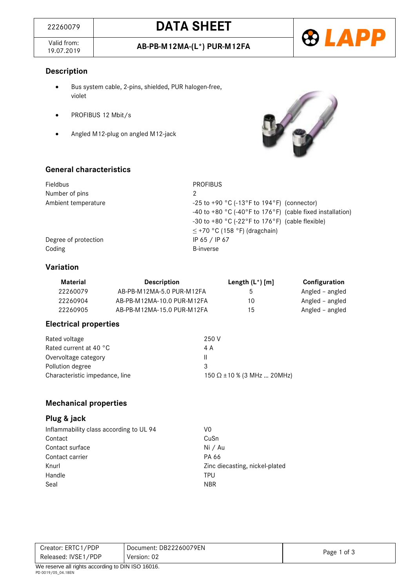Valid from:<br>19.07.2019



# **Description**

- Bus system cable, 2-pins, shielded, PUR halogen-free, violet
- PROFIBUS 12 Mbit/s
- Angled M12-plug on angled M12-jack



#### **General characteristics**

| Fieldbus             | <b>PROFIBUS</b>                                                            |
|----------------------|----------------------------------------------------------------------------|
| Number of pins       | 2                                                                          |
| Ambient temperature  | -25 to +90 $^{\circ}$ C (-13 $^{\circ}$ F to 194 $^{\circ}$ F) (connector) |
|                      | -40 to +80 °C (-40°F to 176°F) (cable fixed installation)                  |
|                      | -30 to +80 °C (-22°F to 176°F) (cable flexible)                            |
|                      | $\leq$ +70 °C (158 °F) (dragchain)                                         |
| Degree of protection | IP 65 / IP 67                                                              |
| Coding               | <b>B-inverse</b>                                                           |

# **Variation**

| Material | <b>Description</b>         | Length $(L^*)$ [m] | Configuration   |
|----------|----------------------------|--------------------|-----------------|
| 22260079 | AB-PB-M12MA-5.0 PUR-M12FA  | 5                  | Angled – angled |
| 22260904 | AB-PB-M12MA-10.0 PUR-M12FA | 10                 | Angled – angled |
| 22260905 | AB-PB-M12MA-15.0 PUR-M12FA | 15                 | Angled – angled |

# **Electrical properties**

| Rated voltage                  | 250 V                             |
|--------------------------------|-----------------------------------|
| Rated current at 40 °C         | 4 A                               |
| Overvoltage category           | Ш                                 |
| Pollution degree               | 3                                 |
| Characteristic impedance, line | 150 $\Omega$ ±10 % (3 MHz  20MHz) |

#### **Mechanical properties**

### **Plug & jack**

| Inflammability class according to UL 94 | V0                             |
|-----------------------------------------|--------------------------------|
| Contact                                 | CuSn                           |
| Contact surface                         | Ni / Au                        |
| Contact carrier                         | PA 66                          |
| Knurl                                   | Zinc diecasting, nickel-plated |
| Handle                                  | TPU                            |
| Seal                                    | <b>NBR</b>                     |

| Creator: ERTC1/PDP                                        | Document: DB22260079EN |             |
|-----------------------------------------------------------|------------------------|-------------|
| Released: IVSE1/PDP                                       | Version: 02            | Page 1 of 3 |
| $M_{\odot}$ reserve all rights according to DIN ISO 16016 |                        |             |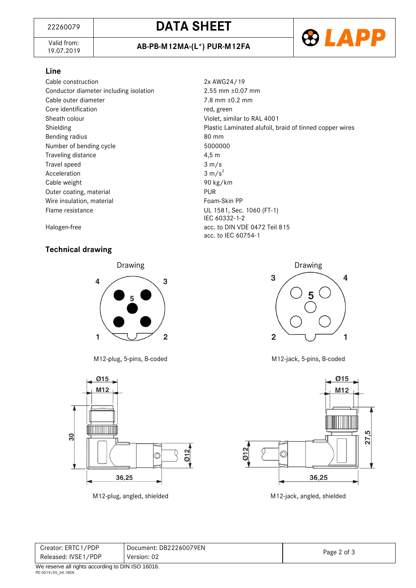# <sup>22260079</sup> **DATA SHEET**

Valid from:<br>19.07.2019



#### **Line**

Cable construction<br>Conductor diameter including isolation<br>2.55 mm ±0.07 mm Conductor diameter including isolation Cable outer diameter 7.8 mm  $\pm$ 0.2 mm Core identification and the core identification and the core identification and the core identification and the core in the core in the core in the core in the core in the core in the core in the core in the core in the co Sheath colour and a state of Violet, similar to RAL 4001 Bending radius 80 mm Number of bending cycle 5000000 Traveling distance and the 4,5 m Travel speed 3 m/s Acceleration  $3 \text{ m/s}^2$ Cable weight **90 kg/km** Outer coating, material example of the PUR Wire insulation, material example of the Foam-Skin PP Flame resistance UL 1581, Sec. 1060 (FT-1)

Shielding **Plastic Laminated alufoil, braid of tinned copper wires** Plastic Laminated alufoil, braid of tinned copper wires IEC 60332-1-2 Halogen-free **and Exercise 20** acc. to DIN VDE 0472 Teil 815 acc. to IEC 60754-1

## **Technical drawing**



M12-plug, 5-pins, B-coded M12-jack, 5-pins, B-coded



M12-plug, angled, shielded M12-jack, angled, shielded





| Creator: ERTC1/PDP  | Document: DB22260079EN |             |
|---------------------|------------------------|-------------|
| Released: IVSE1/PDP | Version: 02            | Page 2 of 3 |